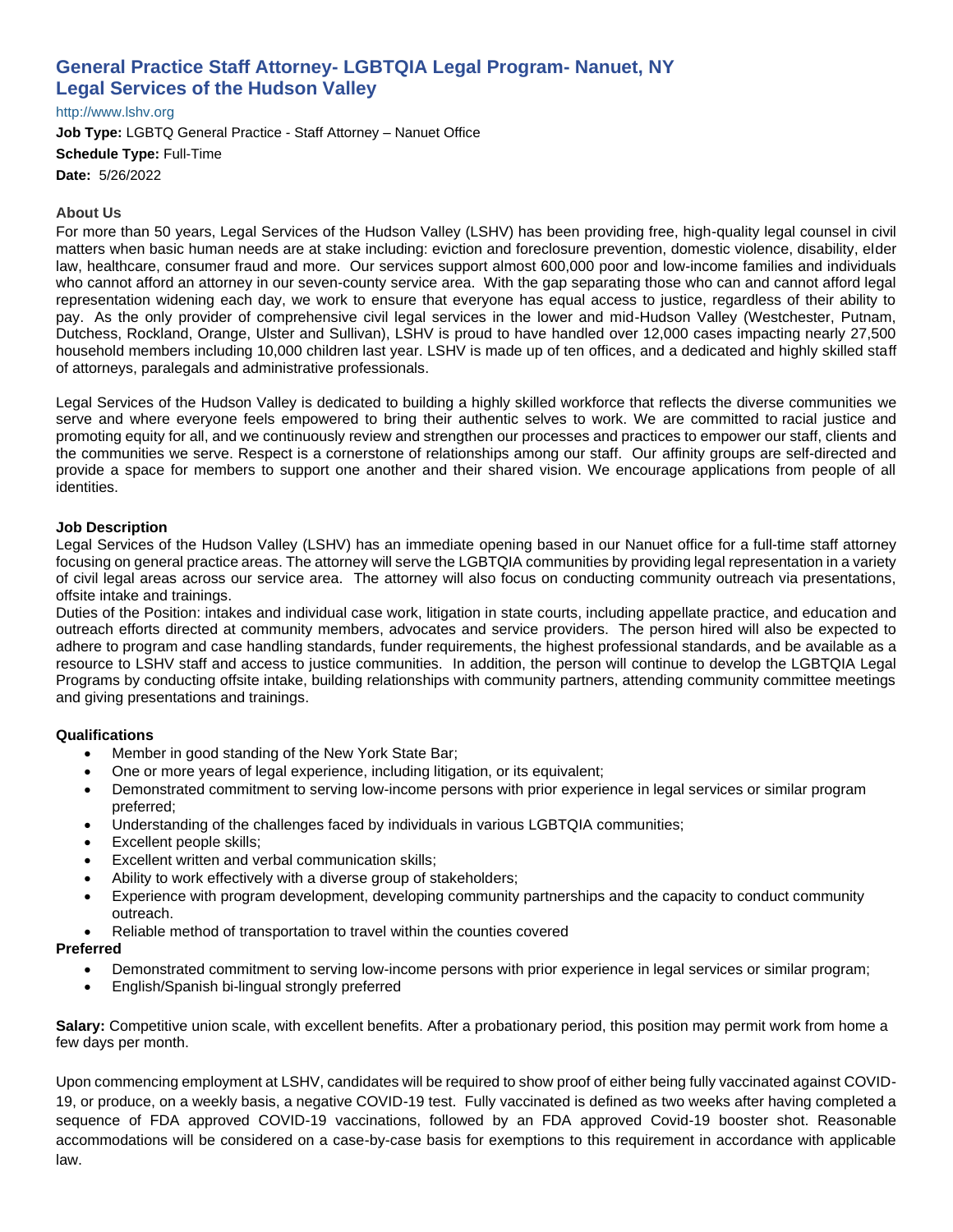# **General Practice Staff Attorney- LGBTQIA Legal Program- Nanuet, NY Legal Services of the Hudson Valley**

## [http://www.lshv.org](http://www.lshv.org/)

**Job Type:** LGBTQ General Practice - Staff Attorney – Nanuet Office **Schedule Type:** Full-Time **Date:** 5/26/2022

#### **About Us**

For more than 50 years, Legal Services of the Hudson Valley (LSHV) has been providing free, high-quality legal counsel in civil matters when basic human needs are at stake including: eviction and foreclosure prevention, domestic violence, disability, elder law, healthcare, consumer fraud and more. Our services support almost 600,000 poor and low-income families and individuals who cannot afford an attorney in our seven-county service area. With the gap separating those who can and cannot afford legal representation widening each day, we work to ensure that everyone has equal access to justice, regardless of their ability to pay. As the only provider of comprehensive civil legal services in the lower and mid-Hudson Valley (Westchester, Putnam, Dutchess, Rockland, Orange, Ulster and Sullivan), LSHV is proud to have handled over 12,000 cases impacting nearly 27,500 household members including 10,000 children last year. LSHV is made up of ten offices, and a dedicated and highly skilled staff of attorneys, paralegals and administrative professionals.

Legal Services of the Hudson Valley is dedicated to building a highly skilled workforce that reflects the diverse communities we serve and where everyone feels empowered to bring their authentic selves to work. We are committed to racial justice and promoting equity for all, and we continuously review and strengthen our processes and practices to empower our staff, clients and the communities we serve. Respect is a cornerstone of relationships among our staff. Our affinity groups are self-directed and provide a space for members to support one another and their shared vision. We encourage applications from people of all identities.

#### **Job Description**

Legal Services of the Hudson Valley (LSHV) has an immediate opening based in our Nanuet office for a full-time staff attorney focusing on general practice areas. The attorney will serve the LGBTQIA communities by providing legal representation in a variety of civil legal areas across our service area. The attorney will also focus on conducting community outreach via presentations, offsite intake and trainings.

Duties of the Position: intakes and individual case work, litigation in state courts, including appellate practice, and education and outreach efforts directed at community members, advocates and service providers. The person hired will also be expected to adhere to program and case handling standards, funder requirements, the highest professional standards, and be available as a resource to LSHV staff and access to justice communities. In addition, the person will continue to develop the LGBTQIA Legal Programs by conducting offsite intake, building relationships with community partners, attending community committee meetings and giving presentations and trainings.

## **Qualifications**

- Member in good standing of the New York State Bar;
- One or more years of legal experience, including litigation, or its equivalent;
- Demonstrated commitment to serving low-income persons with prior experience in legal services or similar program preferred;
- Understanding of the challenges faced by individuals in various LGBTQIA communities;
- Excellent people skills:
- Excellent written and verbal communication skills;
- Ability to work effectively with a diverse group of stakeholders;
- Experience with program development, developing community partnerships and the capacity to conduct community outreach.
- Reliable method of transportation to travel within the counties covered

#### **Preferred**

- Demonstrated commitment to serving low-income persons with prior experience in legal services or similar program;
- English/Spanish bi-lingual strongly preferred

**Salary:** Competitive union scale, with excellent benefits. After a probationary period, this position may permit work from home a few days per month.

Upon commencing employment at LSHV, candidates will be required to show proof of either being fully vaccinated against COVID-19, or produce, on a weekly basis, a negative COVID-19 test. Fully vaccinated is defined as two weeks after having completed a sequence of FDA approved COVID-19 vaccinations, followed by an FDA approved Covid-19 booster shot. Reasonable accommodations will be considered on a case-by-case basis for exemptions to this requirement in accordance with applicable law.